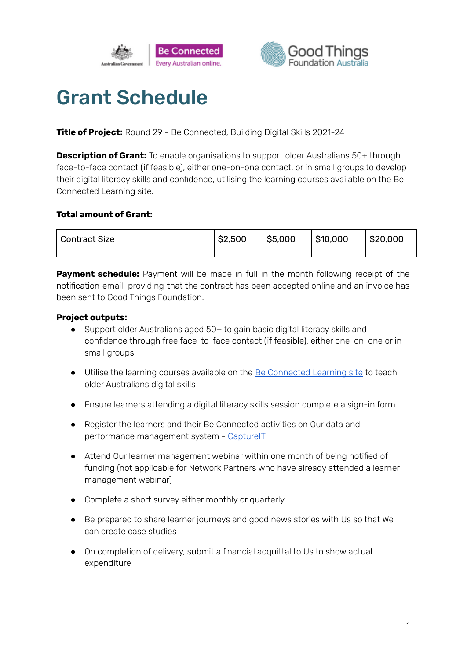



# Grant Schedule

**Title of Project:** Round 29 - Be Connected, Building Digital Skills 2021-24

**Description of Grant:** To enable organisations to support older Australians 50+ through face-to-face contact (if feasible), either one-on-one contact, or in small groups,to develop their digital literacy skills and confidence, utilising the learning courses available on the Be Connected Learning site.

#### **Total amount of Grant:**

| <sup>1</sup> Contract Size | \$2,500 | \$5,000 | \$10,000 | $ $ \$20,000 |
|----------------------------|---------|---------|----------|--------------|
|                            |         |         |          |              |

**Payment schedule:** Payment will be made in full in the month following receipt of the notification email, providing that the contract has been accepted online and an invoice has been sent to Good Things Foundation.

# **Project outputs:**

- Support older Australians aged 50+ to gain basic digital literacy skills and confidence through free face-to-face contact (if feasible), either one-on-one or in small groups
- Utilise the learning courses available on the Be [Connected](https://beconnected.esafety.gov.au/topic-library) Learning site to teach older Australians digital skills
- Ensure learners attending a digital literacy skills session complete a sign-in form
- Register the learners and their Be Connected activities on Our data and performance management system - [CaptureIT](https://www.beconnectednetwork.org.au/sites/default/files/registering_learners_with_captureit.pdf)
- Attend Our learner management webinar within one month of being notified of funding (not applicable for Network Partners who have already attended a learner management webinar)
- Complete a short survey either monthly or quarterly
- Be prepared to share learner journeys and good news stories with Us so that We can create case studies
- On completion of delivery, submit a financial acquittal to Us to show actual expenditure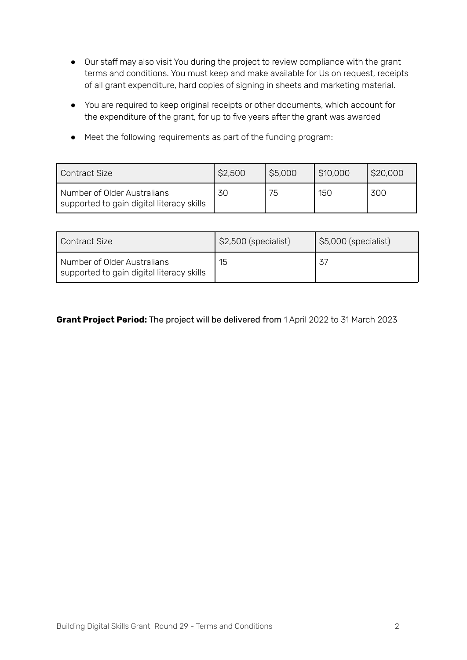- Our staff may also visit You during the project to review compliance with the grant terms and conditions. You must keep and make available for Us on request, receipts of all grant expenditure, hard copies of signing in sheets and marketing material.
- You are required to keep original receipts or other documents, which account for the expenditure of the grant, for up to five years after the grant was awarded
- Meet the following requirements as part of the funding program:

| Contract Size                                                            | \$2,500 | \$5,000 | \$10,000 | \$20,000 |
|--------------------------------------------------------------------------|---------|---------|----------|----------|
| Number of Older Australians<br>supported to gain digital literacy skills | 30      | 75      | 150      | 300      |

| Contract Size                                                            | \$2,500 (specialist) | $\mid$ \$5,000 (specialist) |
|--------------------------------------------------------------------------|----------------------|-----------------------------|
| Number of Older Australians<br>supported to gain digital literacy skills | 15                   |                             |

# **Grant Project Period:** The project will be delivered from 1 April 2022 to 31 March 2023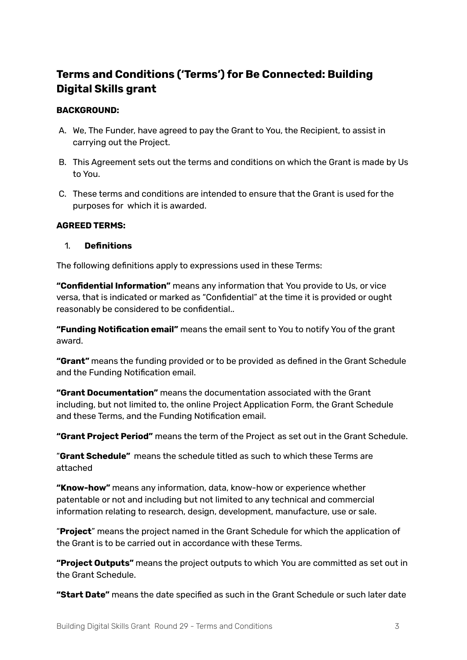# **Terms and Conditions ('Terms') for Be Connected: Building Digital Skills grant**

#### **BACKGROUND:**

- A. We, The Funder, have agreed to pay the Grant to You, the Recipient, to assist in carrying out the Project.
- B. This Agreement sets out the terms and conditions on which the Grant is made by Us to You.
- C. These terms and conditions are intended to ensure that the Grant is used for the purposes for which it is awarded.

#### **AGREED TERMS:**

#### 1. **Definitions**

The following definitions apply to expressions used in these Terms:

**"Confidential Information"** means any information that You provide to Us, or vice versa, that is indicated or marked as "Confidential" at the time it is provided or ought reasonably be considered to be confidential..

**"Funding Notification email"** means the email sent to You to notify You of the grant award.

**"Grant"** means the funding provided or to be provided as defined in the Grant Schedule and the Funding Notification email.

**"Grant Documentation"** means the documentation associated with the Grant including, but not limited to, the online Project Application Form, the Grant Schedule and these Terms, and the Funding Notification email.

**"Grant Project Period"** means the term of the Project as set out in the Grant Schedule.

"**Grant Schedule"** means the schedule titled as such to which these Terms are attached

**"Know-how"** means any information, data, know-how or experience whether patentable or not and including but not limited to any technical and commercial information relating to research, design, development, manufacture, use or sale.

"**Project**" means the project named in the Grant Schedule for which the application of the Grant is to be carried out in accordance with these Terms.

**"Project Outputs"** means the project outputs to which You are committed as set out in the Grant Schedule.

**"Start Date"** means the date specified as such in the Grant Schedule or such later date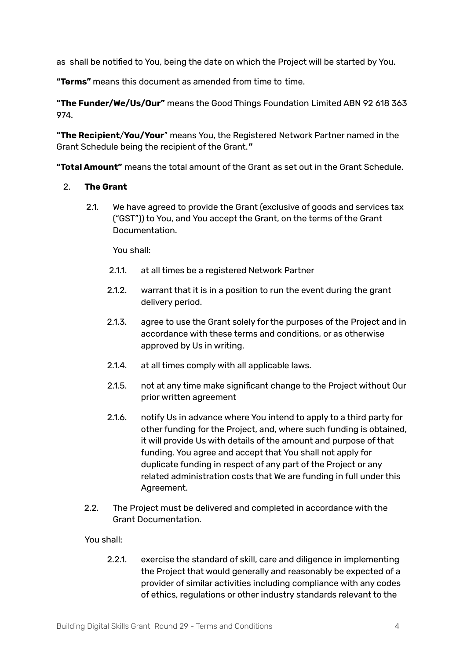as shall be notified to You, being the date on which the Project will be started by You.

**"Terms"** means this document as amended from time to time.

**"The Funder/We/Us/Our"** means the Good Things Foundation Limited ABN 92 618 363 974.

**"The Recipient**/**You/Your**" means You, the Registered Network Partner named in the Grant Schedule being the recipient of the Grant.**"**

**"Total Amount"** means the total amount of the Grant as set out in the Grant Schedule.

#### 2. **The Grant**

2.1. We have agreed to provide the Grant (exclusive of goods and services tax ("GST")) to You, and You accept the Grant, on the terms of the Grant Documentation.

You shall:

- 2.1.1. at all times be a registered Network Partner
- 2.1.2. warrant that it is in a position to run the event during the grant delivery period.
- 2.1.3. agree to use the Grant solely for the purposes of the Project and in accordance with these terms and conditions, or as otherwise approved by Us in writing.
- 2.1.4. at all times comply with all applicable laws.
- 2.1.5. not at any time make significant change to the Project without Our prior written agreement
- 2.1.6. notify Us in advance where You intend to apply to a third party for other funding for the Project, and, where such funding is obtained, it will provide Us with details of the amount and purpose of that funding. You agree and accept that You shall not apply for duplicate funding in respect of any part of the Project or any related administration costs that We are funding in full under this Agreement.
- 2.2. The Project must be delivered and completed in accordance with the Grant Documentation.

You shall:

2.2.1. exercise the standard of skill, care and diligence in implementing the Project that would generally and reasonably be expected of a provider of similar activities including compliance with any codes of ethics, regulations or other industry standards relevant to the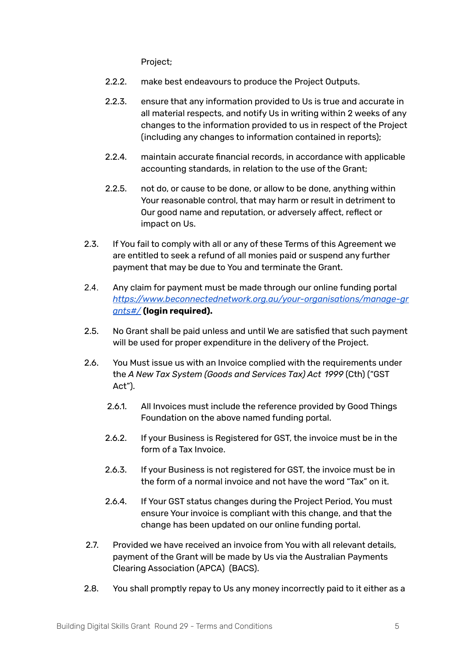Project;

- 2.2.2. make best endeavours to produce the Project Outputs.
- 2.2.3. ensure that any information provided to Us is true and accurate in all material respects, and notify Us in writing within 2 weeks of any changes to the information provided to us in respect of the Project (including any changes to information contained in reports);
- 2.2.4. maintain accurate financial records, in accordance with applicable accounting standards, in relation to the use of the Grant;
- 2.2.5. not do, or cause to be done, or allow to be done, anything within Your reasonable control, that may harm or result in detriment to Our good name and reputation, or adversely affect, reflect or impact on Us.
- 2.3. If You fail to comply with all or any of these Terms of this Agreement we are entitled to seek a refund of all monies paid or suspend any further payment that may be due to You and terminate the Grant.
- 2.4. Any claim for payment must be made through our online funding portal *https:/ [www.beconnectednetwork.org.au/your-organisations/manage-gr](https://www.beconnectednetwork.org.au/your-organisations/manage-grants#/) [ants#/](https://www.beconnectednetwork.org.au/your-organisations/manage-grants#/)* **(login required).**
- 2.5. No Grant shall be paid unless and until We are satisfied that such payment will be used for proper expenditure in the delivery of the Project.
- 2.6. You Must issue us with an Invoice complied with the requirements under the *A New Tax System (Goods and Services Tax) Act 1999* (Cth) ("GST Act").
	- 2.6.1. All Invoices must include the reference provided by Good Things Foundation on the above named funding portal.
	- 2.6.2. If your Business is Registered for GST, the invoice must be in the form of a Tax Invoice.
	- 2.6.3. If your Business is not registered for GST, the invoice must be in the form of a normal invoice and not have the word "Tax" on it.
	- 2.6.4. If Your GST status changes during the Project Period, You must ensure Your invoice is compliant with this change, and that the change has been updated on our online funding portal.
- 2.7. Provided we have received an invoice from You with all relevant details, payment of the Grant will be made by Us via the Australian Payments Clearing Association (APCA) (BACS).
- 2.8. You shall promptly repay to Us any money incorrectly paid to it either as a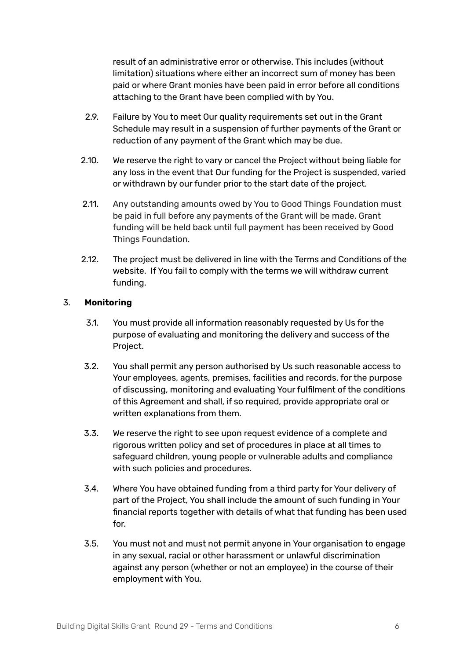result of an administrative error or otherwise. This includes (without limitation) situations where either an incorrect sum of money has been paid or where Grant monies have been paid in error before all conditions attaching to the Grant have been complied with by You.

- 2.9. Failure by You to meet Our quality requirements set out in the Grant Schedule may result in a suspension of further payments of the Grant or reduction of any payment of the Grant which may be due.
- 2.10. We reserve the right to vary or cancel the Project without being liable for any loss in the event that Our funding for the Project is suspended, varied or withdrawn by our funder prior to the start date of the project.
- 2.11. Any outstanding amounts owed by You to Good Things Foundation must be paid in full before any payments of the Grant will be made. Grant funding will be held back until full payment has been received by Good Things Foundation.
- 2.12. The project must be delivered in line with the Terms and Conditions of the website. If You fail to comply with the terms we will withdraw current funding.

# 3. **Monitoring**

- 3.1. You must provide all information reasonably requested by Us for the purpose of evaluating and monitoring the delivery and success of the Project.
- 3.2. You shall permit any person authorised by Us such reasonable access to Your employees, agents, premises, facilities and records, for the purpose of discussing, monitoring and evaluating Your fulfilment of the conditions of this Agreement and shall, if so required, provide appropriate oral or written explanations from them.
- 3.3. We reserve the right to see upon request evidence of a complete and rigorous written policy and set of procedures in place at all times to safeguard children, young people or vulnerable adults and compliance with such policies and procedures.
- 3.4. Where You have obtained funding from a third party for Your delivery of part of the Project, You shall include the amount of such funding in Your financial reports together with details of what that funding has been used for.
- 3.5. You must not and must not permit anyone in Your organisation to engage in any sexual, racial or other harassment or unlawful discrimination against any person (whether or not an employee) in the course of their employment with You.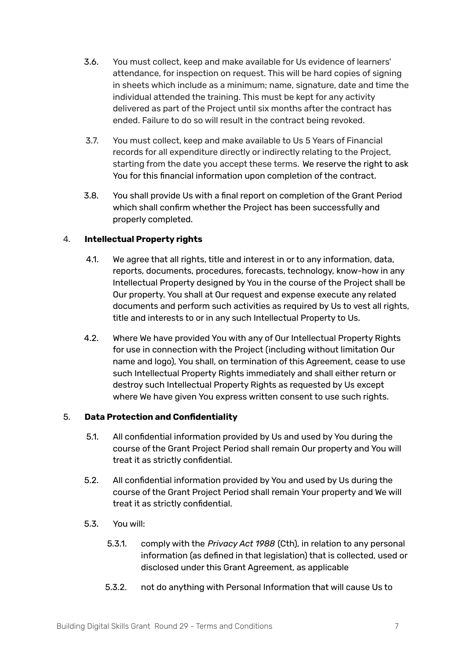- 3.6. You must collect, keep and make available for Us evidence of learners' attendance, for inspection on request. This will be hard copies of signing in sheets which include as a minimum; name, signature, date and time the individual attended the training. This must be kept for any activity delivered as part of the Project until six months after the contract has ended. Failure to do so will result in the contract being revoked.
- 3.7. You must collect, keep and make available to Us 5 Years of Financial records for all expenditure directly or indirectly relating to the Project, starting from the date you accept these terms. We reserve the right to ask You for this financial information upon completion of the contract.
- 3.8. You shall provide Us with a final report on completion of the Grant Period which shall confirm whether the Project has been successfully and properly completed.

# 4. **Intellectual Property rights**

- 4.1. We agree that all rights, title and interest in or to any information, data, reports, documents, procedures, forecasts, technology, know-how in any Intellectual Property designed by You in the course of the Project shall be Our property. You shall at Our request and expense execute any related documents and perform such activities as required by Us to vest all rights, title and interests to or in any such Intellectual Property to Us.
- 4.2. Where We have provided You with any of Our Intellectual Property Rights for use in connection with the Project (including without limitation Our name and logo), You shall, on termination of this Agreement, cease to use such Intellectual Property Rights immediately and shall either return or destroy such Intellectual Property Rights as requested by Us except where We have given You express written consent to use such rights.

# 5. **Data Protection and Confidentiality**

- 5.1. All confidential information provided by Us and used by You during the course of the Grant Project Period shall remain Our property and You will treat it as strictly confidential.
- 5.2. All confidential information provided by You and used by Us during the course of the Grant Project Period shall remain Your property and We will treat it as strictly confidential.
- 5.3. You will:
	- 5.3.1. comply with the *Privacy Act 1988* (Cth), in relation to any personal information (as defined in that legislation) that is collected, used or disclosed under this Grant Agreement, as applicable
	- 5.3.2. not do anything with Personal Information that will cause Us to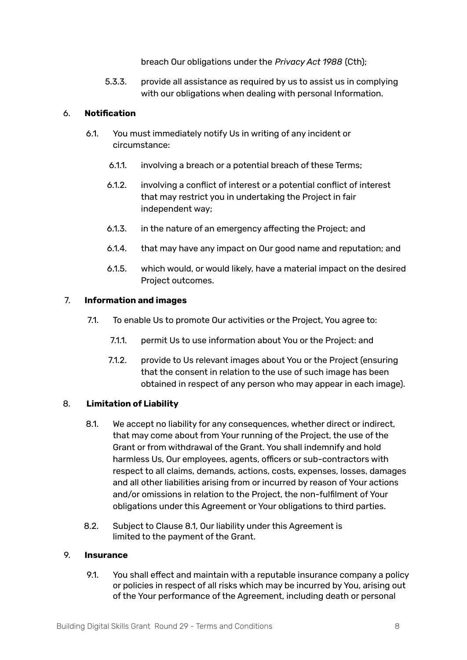breach Our obligations under the *Privacy Act 1988* (Cth);

5.3.3. provide all assistance as required by us to assist us in complying with our obligations when dealing with personal Information.

#### 6. **Notification**

- 6.1. You must immediately notify Us in writing of any incident or circumstance:
	- 6.1.1. involving a breach or a potential breach of these Terms;
	- 6.1.2. involving a conflict of interest or a potential conflict of interest that may restrict you in undertaking the Project in fair independent way;
	- 6.1.3. in the nature of an emergency affecting the Project; and
	- 6.1.4. that may have any impact on Our good name and reputation; and
	- 6.1.5. which would, or would likely, have a material impact on the desired Project outcomes.

#### 7. **Information and images**

- 7.1. To enable Us to promote Our activities or the Project, You agree to:
	- 7.1.1. permit Us to use information about You or the Project: and
	- 7.1.2. provide to Us relevant images about You or the Project (ensuring that the consent in relation to the use of such image has been obtained in respect of any person who may appear in each image).

# 8. **Limitation of Liability**

- 8.1. We accept no liability for any consequences, whether direct or indirect, that may come about from Your running of the Project, the use of the Grant or from withdrawal of the Grant. You shall indemnify and hold harmless Us, Our employees, agents, officers or sub-contractors with respect to all claims, demands, actions, costs, expenses, losses, damages and all other liabilities arising from or incurred by reason of Your actions and/or omissions in relation to the Project, the non-fulfilment of Your obligations under this Agreement or Your obligations to third parties.
- 8.2. Subject to Clause 8.1, Our liability under this Agreement is limited to the payment of the Grant.

#### 9. **Insurance**

9.1. You shall effect and maintain with a reputable insurance company a policy or policies in respect of all risks which may be incurred by You, arising out of the Your performance of the Agreement, including death or personal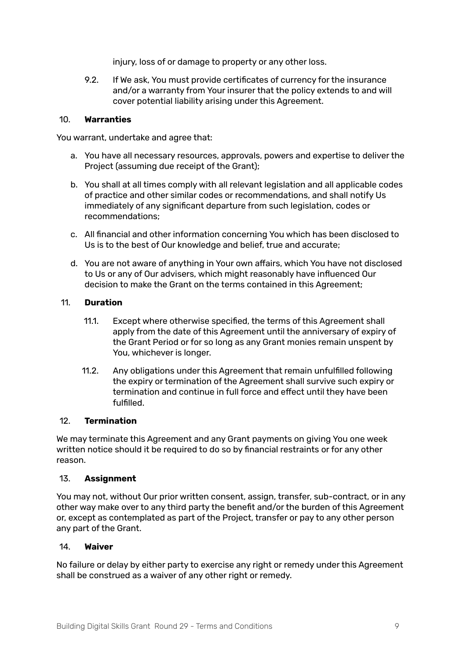injury, loss of or damage to property or any other loss.

9.2. If We ask, You must provide certificates of currency for the insurance and/or a warranty from Your insurer that the policy extends to and will cover potential liability arising under this Agreement.

#### 10. **Warranties**

You warrant, undertake and agree that:

- a. You have all necessary resources, approvals, powers and expertise to deliver the Project (assuming due receipt of the Grant);
- b. You shall at all times comply with all relevant legislation and all applicable codes of practice and other similar codes or recommendations, and shall notify Us immediately of any significant departure from such legislation, codes or recommendations;
- c. All financial and other information concerning You which has been disclosed to Us is to the best of Our knowledge and belief, true and accurate;
- d. You are not aware of anything in Your own affairs, which You have not disclosed to Us or any of Our advisers, which might reasonably have influenced Our decision to make the Grant on the terms contained in this Agreement;

#### 11. **Duration**

- 11.1. Except where otherwise specified, the terms of this Agreement shall apply from the date of this Agreement until the anniversary of expiry of the Grant Period or for so long as any Grant monies remain unspent by You, whichever is longer.
- 11.2. Any obligations under this Agreement that remain unfulfilled following the expiry or termination of the Agreement shall survive such expiry or termination and continue in full force and effect until they have been fulfilled.

#### 12. **Termination**

We may terminate this Agreement and any Grant payments on giving You one week written notice should it be required to do so by financial restraints or for any other reason.

#### 13. **Assignment**

You may not, without Our prior written consent, assign, transfer, sub-contract, or in any other way make over to any third party the benefit and/or the burden of this Agreement or, except as contemplated as part of the Project, transfer or pay to any other person any part of the Grant.

#### 14. **Waiver**

No failure or delay by either party to exercise any right or remedy under this Agreement shall be construed as a waiver of any other right or remedy.